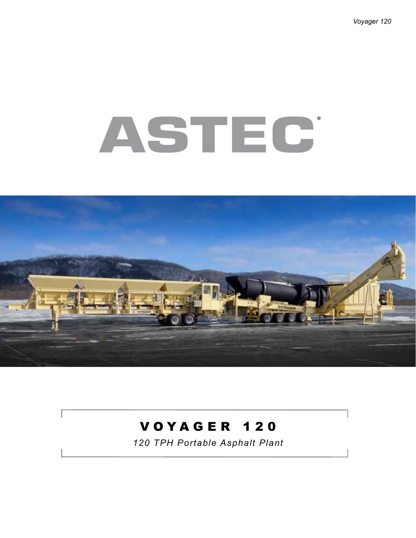## **ASTEC ®**



#### V O Y A G E R 1 2 0

*120 TPH Portable Asphalt Plant*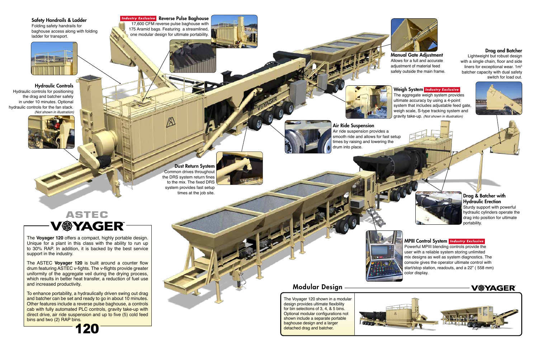#### Modular Design





#### Drag & Batcher with Hydraulic Erection Sturdy support with powerful hydraulic cylinders operate the drag into position for ultimate





# Dust Return System

### **ASTEC<br>V@YAGER**



**Industry Exclusive Reverse Pulse Baghouse** 17,600 CFM reverse pulse baghouse with 175 Aramid bags. Featuring a streamlined, one modular design for ultimate portability.

ß





#### Hydraulic Controls

#### Drag and Batcher

Lightweight but robust design with a single chain, floor and side liners for exceptional wear. 1m<sup>3</sup> batcher capacity with dual safety switch for load out.



Air ride suspension provides a smooth ride and allows for fast setup times by raising and lowering the drum into place.

> Powerful MPIII blending controls provide the user with a reliable system storing unlimited mix designs as well as system diagnostics. The console gives the operator ultimate control with start/stop station, readouts, and a 22" ( 558 mm) color display.

Manual Gate Adjustment Allows for a full and accurate adiustment of material feed safely outside the main frame.

The aggregate weigh system provides ultimate accuracy by using a 4-point system that includes adjustable feed gate, weigh scale, S-type tracking system and gravity take-up. *(Not shown in illustration)*



Hydraulic controls for positioning the drag and batcher safely in under 10 minutes. Optional hydraulic controls for the fan stack. *(Not shown in illustration)*







#### MPIII Control System *Industry Exclusive*

The **Voyager 120** offers a compact, highly portable design. Unique for a plant in this class with the ability to run up to 30% RAP. In addition, it is backed by the best service support in the industry.

#### Weigh System *Industry Exclusive*

The ASTEC **Voyager 120** is built around a counter flow drum featuring ASTEC v-fights. The v-flights provide greater uniformity of the aggregate veil during the drying process, which results in better heat transfer, a reduction of fuel use and increased productivity.

To enhance portability, a hydraulically driven swing out drag and batcher can be set and ready to go in about 10 minutes. Other features include a reverse pulse baghouse, a controls cab with fully automated PLC controls, gravity take-up with direct drive, air ride suspension and up to five (5) cold feed bins and two (2) RAP bins.

The Voyager 120 shown in a modular design provides ultimate flexibility for bin selections of 3, 4, & 5 bins. Optional modular configurations not shown include a separate portable baghouse design and a larger detached drag and batcher.